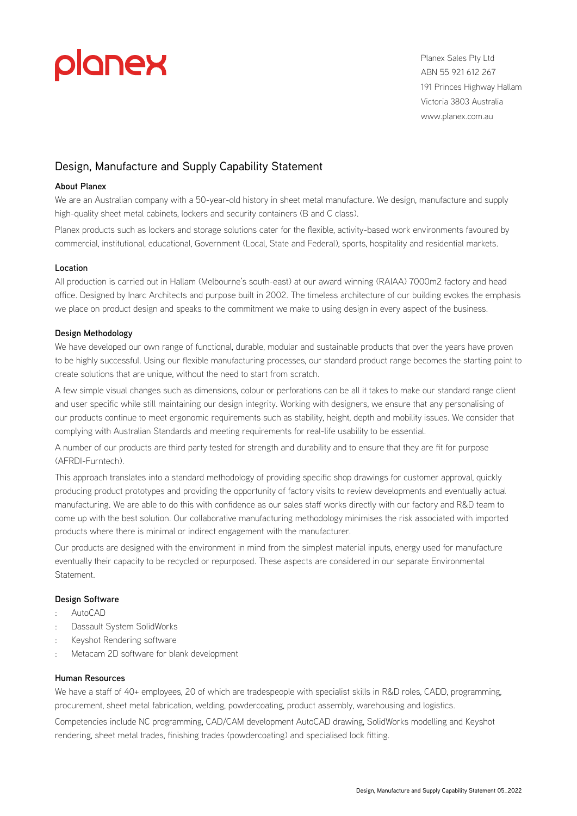# planex

Planex Sales Pty Ltd ABN 55 921 612 267 191 Princes Highway Hallam Victoria 3803 Australia [www.planex.com.au](https://www.planex.com.au/)

# Design, Manufacture and Supply Capability Statement

# **About Planex**

We are an Australian company with a 50-year-old history in sheet metal manufacture. We design, manufacture and supply high-quality sheet metal cabinets, lockers and security containers (B and C class).

Planex products such as lockers and storage solutions cater for the flexible, activity-based work environments favoured by commercial, institutional, educational, Government (Local, State and Federal), sports, hospitality and residential markets.

#### **Location**

All production is carried out in Hallam (Melbourne's south-east) at our award winning (RAIAA) 7000m2 factory and head office. Designed by Inarc Architects and purpose built in 2002. The timeless architecture of our building evokes the emphasis we place on product design and speaks to the commitment we make to using design in every aspect of the business.

### **Design Methodology**

We have developed our own range of functional, durable, modular and sustainable products that over the years have proven to be highly successful. Using our flexible manufacturing processes, our standard product range becomes the starting point to create solutions that are unique, without the need to start from scratch.

A few simple visual changes such as dimensions, colour or perforations can be all it takes to make our standard range client and user specific while still maintaining our design integrity. Working with designers, we ensure that any personalising of our products continue to meet ergonomic requirements such as stability, height, depth and mobility issues. We consider that complying with Australian Standards and meeting requirements for real-life usability to be essential.

A number of our products are third party tested for strength and durability and to ensure that they are fit for purpose (AFRDI-Furntech).

This approach translates into a standard methodology of providing specific shop drawings for customer approval, quickly producing product prototypes and providing the opportunity of factory visits to review developments and eventually actual manufacturing. We are able to do this with confidence as our sales staff works directly with our factory and R&D team to come up with the best solution. Our collaborative manufacturing methodology minimises the risk associated with imported products where there is minimal or indirect engagement with the manufacturer.

Our products are designed with the environment in mind from the simplest material inputs, energy used for manufacture eventually their capacity to be recycled or repurposed. These aspects are considered in our separate Environmental Statement.

### **Design Software**

- : AutoCAD
- : Dassault System SolidWorks
- Keyshot Rendering software
- : Metacam 2D software for blank development

#### **Human Resources**

We have a staff of 40+ employees, 20 of which are tradespeople with specialist skills in R&D roles, CADD, programming, procurement, sheet metal fabrication, welding, powdercoating, product assembly, warehousing and logistics.

Competencies include NC programming, CAD/CAM development AutoCAD drawing, SolidWorks modelling and Keyshot rendering, sheet metal trades, finishing trades (powdercoating) and specialised lock fitting.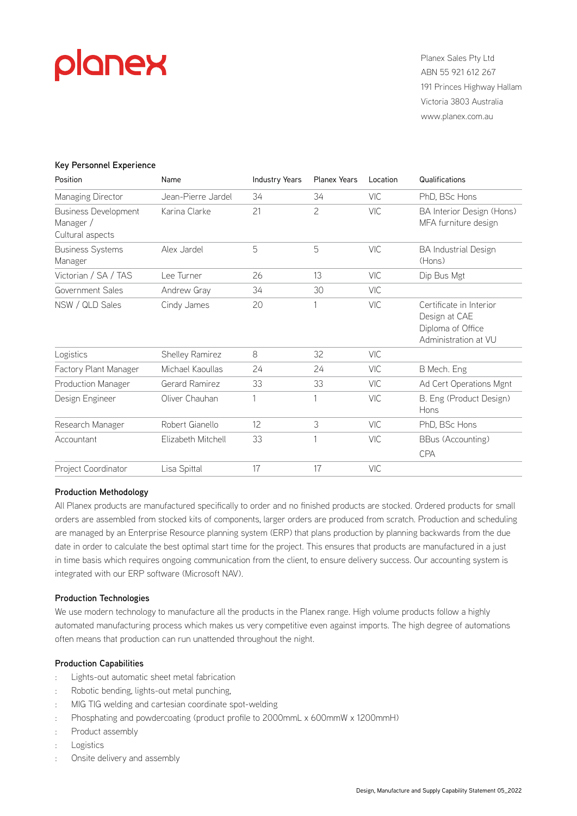# planex

Planex Sales Pty Ltd ABN 55 921 612 267 191 Princes Highway Hallam Victoria 3803 Australia [www.planex.com.au](https://www.planex.com.au/)

### **Key Personnel Experience**

| Position                                                     | Name               | <b>Industry Years</b> | <b>Planex Years</b> | Location   | Qualifications                                                                        |
|--------------------------------------------------------------|--------------------|-----------------------|---------------------|------------|---------------------------------------------------------------------------------------|
| Managing Director                                            | Jean-Pierre Jardel | 34                    | 34                  | <b>VIC</b> | PhD, BSc Hons                                                                         |
| <b>Business Development</b><br>Manager /<br>Cultural aspects | Karina Clarke      | 21                    | 2                   | <b>VIC</b> | BA Interior Design (Hons)<br>MFA furniture design                                     |
| <b>Business Systems</b><br>Manager                           | Alex Jardel        | 5                     | 5                   | <b>VIC</b> | <b>BA Industrial Design</b><br>(Hons)                                                 |
| Victorian / SA / TAS                                         | Lee Turner         | 26                    | 13                  | <b>VIC</b> | Dip Bus Mgt                                                                           |
| Government Sales                                             | Andrew Gray        | 34                    | 30                  | <b>VIC</b> |                                                                                       |
| NSW / QLD Sales                                              | Cindy James        | 20                    |                     | <b>VIC</b> | Certificate in Interior<br>Design at CAE<br>Diploma of Office<br>Administration at VU |
| Logistics                                                    | Shelley Ramirez    | 8                     | 32                  | <b>VIC</b> |                                                                                       |
| Factory Plant Manager                                        | Michael Kaoullas   | 24                    | 24                  | VIC        | B Mech. Eng                                                                           |
| Production Manager                                           | Gerard Ramirez     | 33                    | 33                  | <b>VIC</b> | Ad Cert Operations Mgnt                                                               |
| Design Engineer                                              | Oliver Chauhan     | 1                     |                     | <b>VIC</b> | B. Eng (Product Design)<br>Hons                                                       |
| Research Manager                                             | Robert Gianello    | 12                    | 3                   | VIC        | PhD, BSc Hons                                                                         |
| Accountant                                                   | Elizabeth Mitchell | 33                    | 1                   | <b>VIC</b> | BBus (Accounting)<br><b>CPA</b>                                                       |
| Project Coordinator                                          | Lisa Spittal       | 17                    | 17                  | <b>VIC</b> |                                                                                       |

#### **Production Methodology**

All Planex products are manufactured specifically to order and no finished products are stocked. Ordered products for small orders are assembled from stocked kits of components, larger orders are produced from scratch. Production and scheduling are managed by an Enterprise Resource planning system (ERP) that plans production by planning backwards from the due date in order to calculate the best optimal start time for the project. This ensures that products are manufactured in a just in time basis which requires ongoing communication from the client, to ensure delivery success. Our accounting system is integrated with our ERP software (Microsoft NAV).

#### **Production Technologies**

We use modern technology to manufacture all the products in the Planex range. High volume products follow a highly automated manufacturing process which makes us very competitive even against imports. The high degree of automations often means that production can run unattended throughout the night.

#### **Production Capabilities**

- : Lights-out automatic sheet metal fabrication
- : Robotic bending, lights-out metal punching,
- : MIG TIG welding and cartesian coordinate spot-welding
- : Phosphating and powdercoating (product profile to 2000mmL x 600mmW x 1200mmH)
- : Product assembly
- **Logistics**
- Onsite delivery and assembly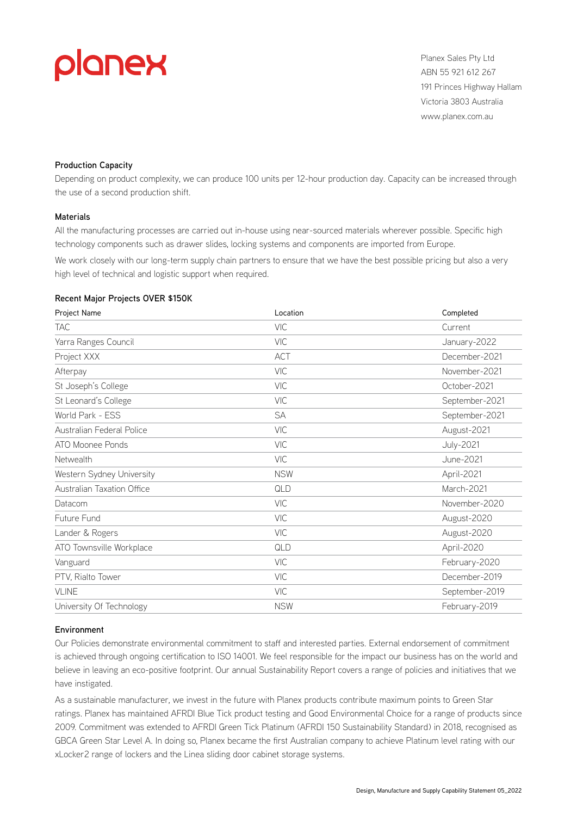

Planex Sales Pty Ltd ABN 55 921 612 267 191 Princes Highway Hallam Victoria 3803 Australia [www.planex.com.au](https://www.planex.com.au/)

#### **Production Capacity**

Depending on product complexity, we can produce 100 units per 12-hour production day. Capacity can be increased through the use of a second production shift.

#### **Materials**

All the manufacturing processes are carried out in-house using near-sourced materials wherever possible. Specific high technology components such as drawer slides, locking systems and components are imported from Europe.

We work closely with our long-term supply chain partners to ensure that we have the best possible pricing but also a very high level of technical and logistic support when required.

#### **Recent Major Projects OVER \$150K**

| Project Name               | Location   | Completed        |
|----------------------------|------------|------------------|
| <b>TAC</b>                 | <b>VIC</b> | Current          |
| Yarra Ranges Council       | <b>VIC</b> | January-2022     |
| Project XXX                | <b>ACT</b> | December-2021    |
| Afterpay                   | <b>VIC</b> | November-2021    |
| St Joseph's College        | <b>VIC</b> | October-2021     |
| St Leonard's College       | <b>VIC</b> | September-2021   |
| World Park - ESS           | <b>SA</b>  | September-2021   |
| Australian Federal Police  | <b>VIC</b> | August-2021      |
| ATO Moonee Ponds           | <b>VIC</b> | <b>July-2021</b> |
| Netwealth                  | <b>VIC</b> | June-2021        |
| Western Sydney University  | <b>NSW</b> | April-2021       |
| Australian Taxation Office | QLD        | March-2021       |
| Datacom                    | <b>VIC</b> | November-2020    |
| Future Fund                | <b>VIC</b> | August-2020      |
| Lander & Rogers            | <b>VIC</b> | August-2020      |
| ATO Townsville Workplace   | QLD        | April-2020       |
| Vanguard                   | <b>VIC</b> | February-2020    |
| PTV, Rialto Tower          | <b>VIC</b> | December-2019    |
| VLINE                      | <b>VIC</b> | September-2019   |
| University Of Technology   | <b>NSW</b> | February-2019    |

#### **Environment**

Our Policies demonstrate environmental commitment to staff and interested parties. External endorsement of commitment is achieved through ongoing certification to ISO 14001. We feel responsible for the impact our business has on the world and believe in leaving an eco-positive footprint. Our annual Sustainability Report covers a range of policies and initiatives that we have instigated.

As a sustainable manufacturer, we invest in the future with Planex products contribute maximum points to Green Star ratings. Planex has maintained AFRDI Blue Tick product testing and Good Environmental Choice for a range of products since 2009. Commitment was extended to AFRDI Green Tick Platinum (AFRDI 150 Sustainability Standard) in 2018, recognised as GBCA Green Star Level A. In doing so, Planex became the first Australian company to achieve Platinum level rating with our xLocker2 range of lockers and the Linea sliding door cabinet storage systems.